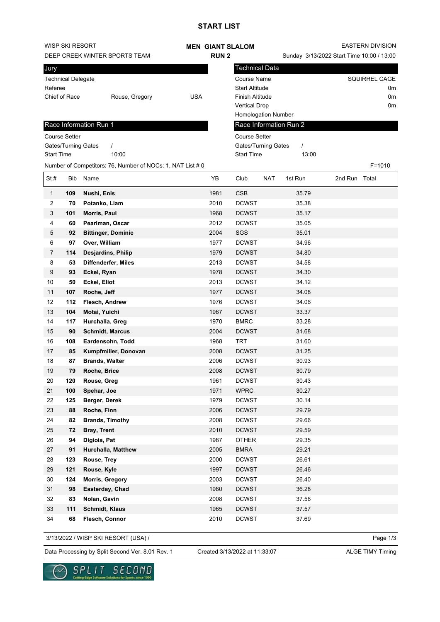## **START LIST**

| WISP SKI RESORT               |                           |                                                            |            |              | <b>MEN GIANT SLALOM</b>      |            |                                           | <b>EASTERN DIVISION</b> |                      |    |
|-------------------------------|---------------------------|------------------------------------------------------------|------------|--------------|------------------------------|------------|-------------------------------------------|-------------------------|----------------------|----|
| DEEP CREEK WINTER SPORTS TEAM |                           |                                                            |            | <b>RUN2</b>  |                              |            | Sunday 3/13/2022 Start Time 10:00 / 13:00 |                         |                      |    |
| Jury                          |                           |                                                            |            |              | <b>Technical Data</b>        |            |                                           |                         |                      |    |
|                               | <b>Technical Delegate</b> |                                                            |            |              | <b>Course Name</b>           |            |                                           |                         | <b>SQUIRREL CAGE</b> |    |
| Referee                       |                           |                                                            |            |              | <b>Start Altitude</b>        |            |                                           |                         |                      | 0m |
|                               | Chief of Race             | Rouse, Gregory                                             | <b>USA</b> |              | Finish Altitude              |            |                                           |                         |                      | 0m |
|                               |                           |                                                            |            |              | <b>Vertical Drop</b>         |            |                                           |                         |                      | 0m |
|                               |                           |                                                            |            |              | Homologation Number          |            |                                           |                         |                      |    |
|                               |                           | Race Information Run 1                                     |            |              | Race Information Run 2       |            |                                           |                         |                      |    |
|                               | <b>Course Setter</b>      |                                                            |            |              | <b>Course Setter</b>         |            |                                           |                         |                      |    |
|                               |                           | Gates/Turning Gates<br>$\prime$                            |            |              | Gates/Turning Gates          |            | $\prime$                                  |                         |                      |    |
| <b>Start Time</b>             |                           | 10:00                                                      |            |              | <b>Start Time</b>            |            | 13:00                                     |                         |                      |    |
|                               |                           | Number of Competitors: 76, Number of NOCs: 1, NAT List # 0 |            |              |                              |            |                                           |                         | $F = 1010$           |    |
| St#                           | Bib                       | Name                                                       |            | YB           | Club                         | <b>NAT</b> | 1st Run                                   | 2nd Run Total           |                      |    |
| $\mathbf{1}$                  | 109                       | Nushi, Enis                                                |            | 1981         | <b>CSB</b>                   |            | 35.79                                     |                         |                      |    |
| 2                             | 70                        | Potanko, Liam                                              |            | 2010         | <b>DCWST</b>                 |            | 35.38                                     |                         |                      |    |
| 3                             | 101                       | Morris, Paul                                               |            | 1968         | <b>DCWST</b>                 |            | 35.17                                     |                         |                      |    |
| 4                             | 60                        | Pearlman, Oscar                                            |            | 2012         | <b>DCWST</b>                 |            | 35.05                                     |                         |                      |    |
| 5                             | 92                        | <b>Bittinger, Dominic</b>                                  |            | 2004         | SGS                          |            | 35.01                                     |                         |                      |    |
| 6                             | 97                        | Over, William                                              |            | 1977         | <b>DCWST</b>                 |            | 34.96                                     |                         |                      |    |
| $\overline{7}$                | 114                       | <b>Desjardins, Philip</b>                                  |            | 1979         | <b>DCWST</b>                 |            | 34.80                                     |                         |                      |    |
| 8                             | 53                        | <b>Diffenderfer, Miles</b>                                 |            | 2013         | <b>DCWST</b>                 |            | 34.58                                     |                         |                      |    |
| 9<br>10                       | 93<br>50                  | Eckel, Ryan                                                |            | 1978         | <b>DCWST</b>                 |            | 34.30<br>34.12                            |                         |                      |    |
| 11                            | 107                       | Eckel, Eliot<br>Roche, Jeff                                |            | 2013<br>1977 | <b>DCWST</b><br><b>DCWST</b> |            | 34.08                                     |                         |                      |    |
| 12                            | 112                       | Flesch, Andrew                                             |            | 1976         | <b>DCWST</b>                 |            | 34.06                                     |                         |                      |    |
| 13                            | 104                       | Motai, Yuichi                                              |            | 1967         | <b>DCWST</b>                 |            | 33.37                                     |                         |                      |    |
| 14                            | 117                       | Hurchalla, Greg                                            |            | 1970         | <b>BMRC</b>                  |            | 33.28                                     |                         |                      |    |
| 15                            | 90                        | <b>Schmidt, Marcus</b>                                     |            | 2004         | <b>DCWST</b>                 |            | 31.68                                     |                         |                      |    |
| 16                            | 108                       | Eardensohn, Todd                                           |            | 1968         | <b>TRT</b>                   |            | 31.60                                     |                         |                      |    |
| 17                            | 85                        | Kumpfmiller, Donovan                                       |            | 2008         | <b>DCWST</b>                 |            | 31.25                                     |                         |                      |    |
| 18                            | 87                        | <b>Brands, Walter</b>                                      |            | 2006         | <b>DCWST</b>                 |            | 30.93                                     |                         |                      |    |
| $19$                          | 79                        | Roche, Brice                                               |            | 2008         | <b>DCWST</b>                 |            | 30.79                                     |                         |                      |    |
| 20                            | 120                       | Rouse, Greg                                                |            | 1961         | <b>DCWST</b>                 |            | 30.43                                     |                         |                      |    |
| 21                            | 100                       | Spehar, Joe                                                |            | 1971         | <b>WPRC</b>                  |            | 30.27                                     |                         |                      |    |
| 22                            | 125                       | Berger, Derek                                              |            | 1979         | <b>DCWST</b>                 |            | 30.14                                     |                         |                      |    |
| 23                            | 88                        | Roche, Finn                                                |            | 2006         | <b>DCWST</b>                 |            | 29.79                                     |                         |                      |    |
| 24                            | 82                        | <b>Brands, Timothy</b>                                     |            | 2008         | <b>DCWST</b>                 |            | 29.66                                     |                         |                      |    |
| 25                            | 72                        | Bray, Trent                                                |            | 2010         | <b>DCWST</b>                 |            | 29.59                                     |                         |                      |    |
| 26                            | 94                        | Digioia, Pat                                               |            | 1987         | OTHER                        |            | 29.35                                     |                         |                      |    |
| 27                            | 91                        | Hurchalla, Matthew                                         |            | 2005         | <b>BMRA</b>                  |            | 29.21                                     |                         |                      |    |
| 28                            | 123                       | Rouse, Trey                                                |            | 2000         | <b>DCWST</b>                 |            | 26.61                                     |                         |                      |    |
| 29                            | 121                       | Rouse, Kyle                                                |            | 1997         | <b>DCWST</b>                 |            | 26.46                                     |                         |                      |    |
| 30                            | 124                       | Morris, Gregory                                            |            | 2003         | <b>DCWST</b>                 |            | 26.40                                     |                         |                      |    |
| 31                            | 98                        | Easterday, Chad                                            |            | 1980         | <b>DCWST</b>                 |            | 36.28                                     |                         |                      |    |
| 32                            | 83                        | Nolan, Gavin                                               |            | 2008         | <b>DCWST</b>                 |            | 37.56                                     |                         |                      |    |
| 33<br>34                      | 111<br>68                 | <b>Schmidt, Klaus</b>                                      |            | 1965<br>2010 | <b>DCWST</b><br><b>DCWST</b> |            | 37.57<br>37.69                            |                         |                      |    |
|                               |                           | Flesch, Connor                                             |            |              |                              |            |                                           |                         |                      |    |

3/13/2022 / WISP SKI RESORT (USA) /

Page 1/3

Data Processing by Split Second Ver. 8.01 Rev. 1 Created 3/13/2022 at 11:33:07 ALGE TIMY Timing

Created 3/13/2022 at 11:33:07

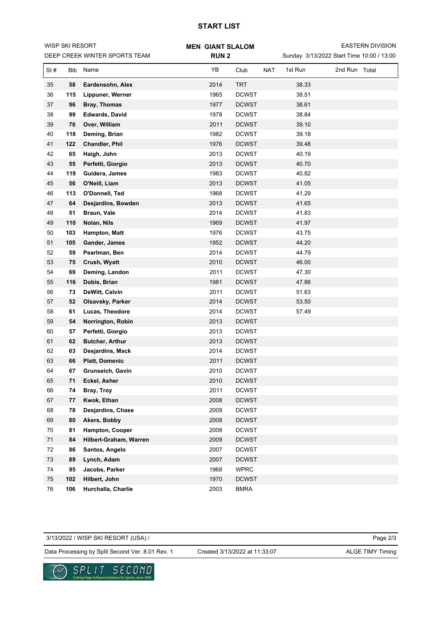## **START LIST**

| WISP SKI RESORT<br>DEEP CREEK WINTER SPORTS TEAM |     |                        | <b>MEN GIANT SLALOM</b> |              |                                           | <b>EASTERN DIVISION</b> |               |  |  |
|--------------------------------------------------|-----|------------------------|-------------------------|--------------|-------------------------------------------|-------------------------|---------------|--|--|
|                                                  |     |                        | <b>RUN2</b>             |              | Sunday 3/13/2022 Start Time 10:00 / 13:00 |                         |               |  |  |
| St#                                              | Bib | Name                   | YB                      | Club         | <b>NAT</b>                                | 1st Run                 | 2nd Run Total |  |  |
| 35                                               | 58  | Eardensohn, Alex       | 2014                    | TRT          |                                           | 38.33                   |               |  |  |
| 36                                               | 115 | Lippuner, Werner       | 1965                    | <b>DCWST</b> |                                           | 38.51                   |               |  |  |
| 37                                               | 96  | Bray, Thomas           | 1977                    | <b>DCWST</b> |                                           | 38.61                   |               |  |  |
| 38                                               | 99  | <b>Edwards, David</b>  | 1978                    | <b>DCWST</b> |                                           | 38.84                   |               |  |  |
| 39                                               | 76  | Over, William          | 2011                    | <b>DCWST</b> |                                           | 39.10                   |               |  |  |
| 40                                               | 118 | Deming, Brian          | 1982                    | <b>DCWST</b> |                                           | 39.18                   |               |  |  |
| 41                                               | 122 | <b>Chandler, Phil</b>  | 1976                    | <b>DCWST</b> |                                           | 39.48                   |               |  |  |
| 42                                               | 65  | Haigh, John            | 2013                    | <b>DCWST</b> |                                           | 40.19                   |               |  |  |
| 43                                               | 55  | Perfetti, Giorgio      | 2013                    | <b>DCWST</b> |                                           | 40.70                   |               |  |  |
| 44                                               | 119 | Guidera, James         | 1983                    | <b>DCWST</b> |                                           | 40.82                   |               |  |  |
| 45                                               | 56  | O'Neill, Liam          | 2013                    | <b>DCWST</b> |                                           | 41.05                   |               |  |  |
| 46                                               | 113 | O'Donnell, Ted         | 1968                    | <b>DCWST</b> |                                           | 41.29                   |               |  |  |
| 47                                               | 64  | Desjardins, Bowden     | 2013                    | <b>DCWST</b> |                                           | 41.65                   |               |  |  |
| 48                                               | 51  | Braun, Vale            | 2014                    | <b>DCWST</b> |                                           | 41.83                   |               |  |  |
| 49                                               | 110 | Nolan, Nils            | 1969                    | <b>DCWST</b> |                                           | 41.97                   |               |  |  |
| 50                                               | 103 | Hampton, Matt          | 1976                    | <b>DCWST</b> |                                           | 43.75                   |               |  |  |
| 51                                               | 105 | Gander, James          | 1952                    | <b>DCWST</b> |                                           | 44.20                   |               |  |  |
| 52                                               | 59  | Pearlman, Ben          | 2014                    | <b>DCWST</b> |                                           | 44.79                   |               |  |  |
| 53                                               | 75  | Crush, Wyatt           | 2010                    | <b>DCWST</b> |                                           | 46.00                   |               |  |  |
| 54                                               | 69  | Deming, Landon         | 2011                    | <b>DCWST</b> |                                           | 47.30                   |               |  |  |
| 55                                               | 116 | Dobis, Brian           | 1981                    | <b>DCWST</b> |                                           | 47.86                   |               |  |  |
| 56                                               | 73  | DeWitt, Calvin         | 2011                    | <b>DCWST</b> |                                           | 51.63                   |               |  |  |
| 57                                               | 52  | Olsavsky, Parker       | 2014                    | <b>DCWST</b> |                                           | 53.50                   |               |  |  |
| 58                                               | 61  | Lucas, Theodore        | 2014                    | <b>DCWST</b> |                                           | 57.49                   |               |  |  |
| 59                                               | 54  | Norrington, Robin      | 2013                    | <b>DCWST</b> |                                           |                         |               |  |  |
| 60                                               | 57  | Perfetti, Giorgio      | 2013                    | <b>DCWST</b> |                                           |                         |               |  |  |
| 61                                               | 62  | <b>Butcher, Arthur</b> | 2013                    | <b>DCWST</b> |                                           |                         |               |  |  |
| 62                                               | 63  | Desjardins, Mack       | 2014                    | <b>DCWST</b> |                                           |                         |               |  |  |
| 63                                               | 66  | Platt, Domenic         | 2011                    | <b>DCWST</b> |                                           |                         |               |  |  |
| 64                                               | 67  | Grunseich, Gavin       | 2010                    | <b>DCWST</b> |                                           |                         |               |  |  |
| 65                                               | 71  | Eckel, Asher           | 2010                    | <b>DCWST</b> |                                           |                         |               |  |  |
| 66                                               | 74  | Bray, Troy             | 2011                    | <b>DCWST</b> |                                           |                         |               |  |  |
| 67                                               | 77  | Kwok, Ethan            | 2008                    | <b>DCWST</b> |                                           |                         |               |  |  |
| 68                                               | 78  | Desjardins, Chase      | 2009                    | <b>DCWST</b> |                                           |                         |               |  |  |
| 69                                               | 80  | Akers, Bobby           | 2008                    | <b>DCWST</b> |                                           |                         |               |  |  |
| 70                                               | 81  | Hampton, Cooper        | 2008                    | <b>DCWST</b> |                                           |                         |               |  |  |
| 71                                               | 84  | Hilbert-Graham, Warren | 2009                    | <b>DCWST</b> |                                           |                         |               |  |  |
| 72                                               | 86  | Santos, Angelo         | 2007                    | <b>DCWST</b> |                                           |                         |               |  |  |
| 73                                               | 89  | Lynch, Adam            | 2007                    | <b>DCWST</b> |                                           |                         |               |  |  |
| 74                                               | 95  | Jacobs, Parker         | 1968                    | <b>WPRC</b>  |                                           |                         |               |  |  |
| 75                                               | 102 | Hilbert, John          | 1970                    | <b>DCWST</b> |                                           |                         |               |  |  |
| 76                                               | 106 | Hurchalla, Charlie     | 2003                    | <b>BMRA</b>  |                                           |                         |               |  |  |

Page 2/3 Data Processing by Split Second Ver. 8.01 Rev. 1 Created 3/13/2022 at 11:33:07 ALGE TIMY Timing 3/13/2022 / WISP SKI RESORT (USA) / Created 3/13/2022 at 11:33:07